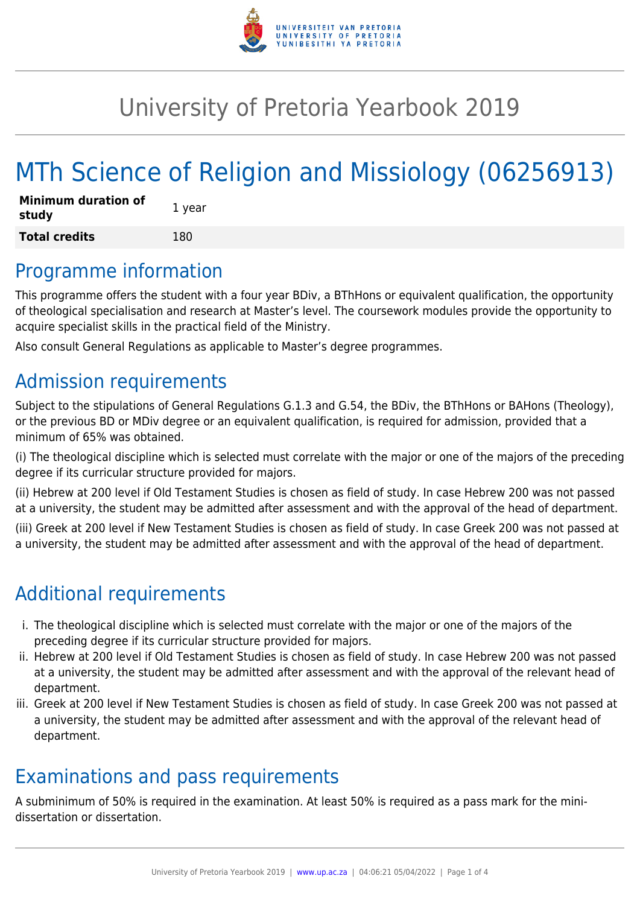

# University of Pretoria Yearbook 2019

# MTh Science of Religion and Missiology (06256913)

| <b>Minimum duration of</b><br>study | 1 year |
|-------------------------------------|--------|
| <b>Total credits</b>                | 180    |

### Programme information

This programme offers the student with a four year BDiv, a BThHons or equivalent qualification, the opportunity of theological specialisation and research at Master's level. The coursework modules provide the opportunity to acquire specialist skills in the practical field of the Ministry.

Also consult General Regulations as applicable to Master's degree programmes.

### Admission requirements

Subject to the stipulations of General Regulations G.1.3 and G.54, the BDiv, the BThHons or BAHons (Theology), or the previous BD or MDiv degree or an equivalent qualification, is required for admission, provided that a minimum of 65% was obtained.

(i) The theological discipline which is selected must correlate with the major or one of the majors of the preceding degree if its curricular structure provided for majors.

(ii) Hebrew at 200 level if Old Testament Studies is chosen as field of study. In case Hebrew 200 was not passed at a university, the student may be admitted after assessment and with the approval of the head of department.

(iii) Greek at 200 level if New Testament Studies is chosen as field of study. In case Greek 200 was not passed at a university, the student may be admitted after assessment and with the approval of the head of department.

## Additional requirements

- i. The theological discipline which is selected must correlate with the major or one of the majors of the preceding degree if its curricular structure provided for majors.
- ii. Hebrew at 200 level if Old Testament Studies is chosen as field of study. In case Hebrew 200 was not passed at a university, the student may be admitted after assessment and with the approval of the relevant head of department.
- iii. Greek at 200 level if New Testament Studies is chosen as field of study. In case Greek 200 was not passed at a university, the student may be admitted after assessment and with the approval of the relevant head of department.

### Examinations and pass requirements

A subminimum of 50% is required in the examination. At least 50% is required as a pass mark for the minidissertation or dissertation.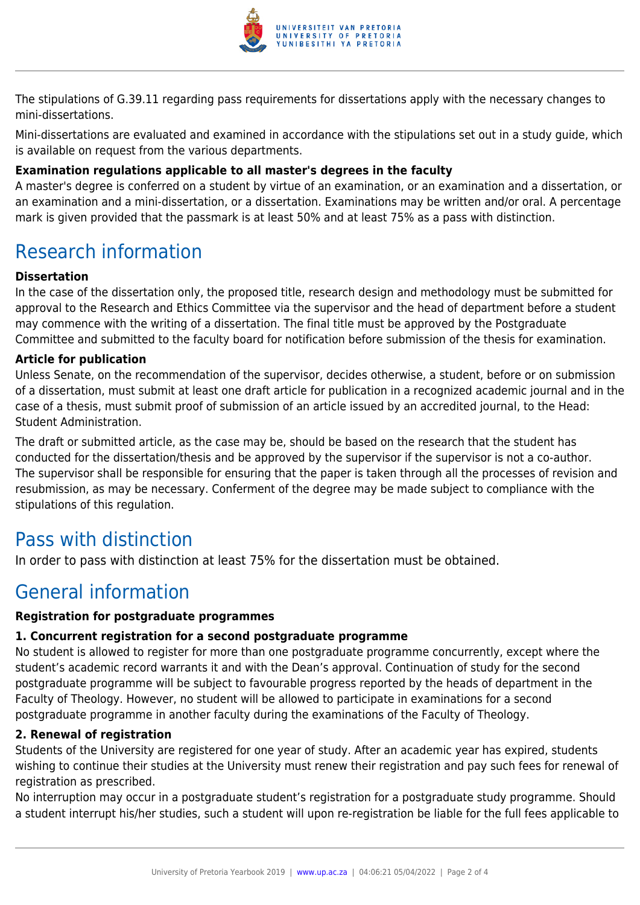

The stipulations of G.39.11 regarding pass requirements for dissertations apply with the necessary changes to mini-dissertations.

Mini-dissertations are evaluated and examined in accordance with the stipulations set out in a study guide, which is available on request from the various departments.

#### **Examination regulations applicable to all master's degrees in the faculty**

A master's degree is conferred on a student by virtue of an examination, or an examination and a dissertation, or an examination and a mini-dissertation, or a dissertation. Examinations may be written and/or oral. A percentage mark is given provided that the passmark is at least 50% and at least 75% as a pass with distinction.

## Research information

#### **Dissertation**

In the case of the dissertation only, the proposed title, research design and methodology must be submitted for approval to the Research and Ethics Committee via the supervisor and the head of department before a student may commence with the writing of a dissertation. The final title must be approved by the Postgraduate Committee and submitted to the faculty board for notification before submission of the thesis for examination.

#### **Article for publication**

Unless Senate, on the recommendation of the supervisor, decides otherwise, a student, before or on submission of a dissertation, must submit at least one draft article for publication in a recognized academic journal and in the case of a thesis, must submit proof of submission of an article issued by an accredited journal, to the Head: Student Administration.

The draft or submitted article, as the case may be, should be based on the research that the student has conducted for the dissertation/thesis and be approved by the supervisor if the supervisor is not a co-author. The supervisor shall be responsible for ensuring that the paper is taken through all the processes of revision and resubmission, as may be necessary. Conferment of the degree may be made subject to compliance with the stipulations of this regulation.

### Pass with distinction

In order to pass with distinction at least 75% for the dissertation must be obtained.

### General information

#### **Registration for postgraduate programmes**

#### **1. Concurrent registration for a second postgraduate programme**

No student is allowed to register for more than one postgraduate programme concurrently, except where the student's academic record warrants it and with the Dean's approval. Continuation of study for the second postgraduate programme will be subject to favourable progress reported by the heads of department in the Faculty of Theology. However, no student will be allowed to participate in examinations for a second postgraduate programme in another faculty during the examinations of the Faculty of Theology.

#### **2. Renewal of registration**

Students of the University are registered for one year of study. After an academic year has expired, students wishing to continue their studies at the University must renew their registration and pay such fees for renewal of registration as prescribed.

No interruption may occur in a postgraduate student's registration for a postgraduate study programme. Should a student interrupt his/her studies, such a student will upon re-registration be liable for the full fees applicable to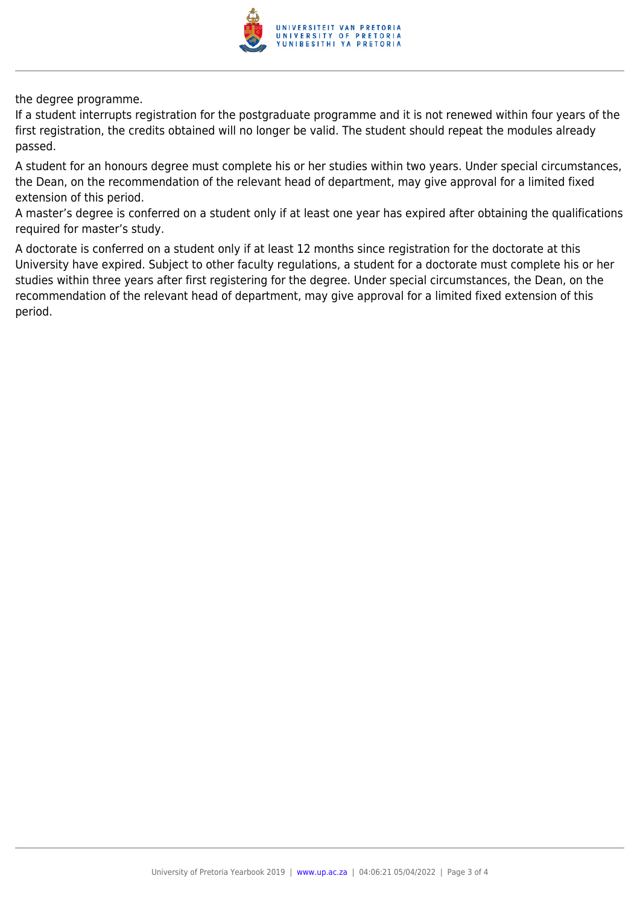

the degree programme.

If a student interrupts registration for the postgraduate programme and it is not renewed within four years of the first registration, the credits obtained will no longer be valid. The student should repeat the modules already passed.

A student for an honours degree must complete his or her studies within two years. Under special circumstances, the Dean, on the recommendation of the relevant head of department, may give approval for a limited fixed extension of this period.

A master's degree is conferred on a student only if at least one year has expired after obtaining the qualifications required for master's study.

A doctorate is conferred on a student only if at least 12 months since registration for the doctorate at this University have expired. Subject to other faculty regulations, a student for a doctorate must complete his or her studies within three years after first registering for the degree. Under special circumstances, the Dean, on the recommendation of the relevant head of department, may give approval for a limited fixed extension of this period.